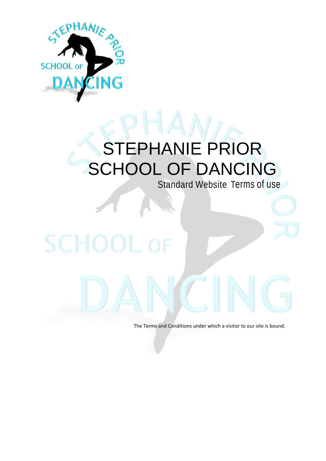

# STEPHANIE PRIOR SCHOOL OF DANCING

Standard Website Terms of use

# SCHOOL

The Terms and Conditions under which a visitor to our site is bound.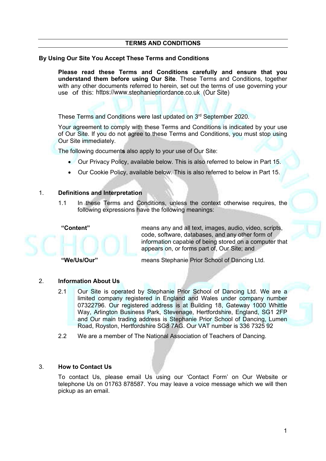## **TERMS AND CONDITIONS**

### **By Using Our Site You Accept These Terms and Conditions**

**Please read these Terms and Conditions carefully and ensure that you understand them before using Our Site**. These Terms and Conditions, together with any other documents referred to herein, set out the terms of use governing your use of this: <https://www.stephaniepriordance.co.uk> (Our Site)

These Terms and Conditions were last updated on 3 rd September 2020.

Your agreement to comply with these Terms and Conditions is indicated by your use of Our Site. If you do not agree to these Terms and Conditions, you must stop using Our Site immediately.

The following document**s** also apply to your use of Our Site:

- Our Privacy Policy, available below. This is also referred to below in Part 15.
- Our Cookie Policy, available below. This is also referred to below in Part 15.

### 1. **Definitions and Interpretation**

1.1 In these Terms and Conditions, unless the context otherwise requires, the following expressions have the following meanings:



**"Content"** means any and all text, images, audio, video, scripts, code, software, databases, and any other form of information capable of being stored on a computer that appears on, or forms part of, Our Site; and

**"We/Us/Our"** means Stephanie Prior School of Dancing Ltd.

### 2. **Information About Us**

- 2.1 Our Site is operated by Stephanie Prior School of Dancing Ltd. We are a limited company registered in England and Wales under company number 07322796. Our registered address is at Building 18, Gateway 1000 Whittle Way, Arlington Business Park, Stevenage, Hertfordshire, England, SG1 2FP and Our main trading address is Stephanie Prior School of Dancing, Lumen Road, Royston, Hertfordshire SG8 7AG. Our VAT number is 336 7325 92
- 2.2 We are a member of The National Association of Teachers of Dancing.

### 3. **How to Contact Us**

To contact Us, please email Us using our 'Contact Form' on Our Website or telephone Us on 01763 878587. You may leave a voice message which we will then pickup as an email.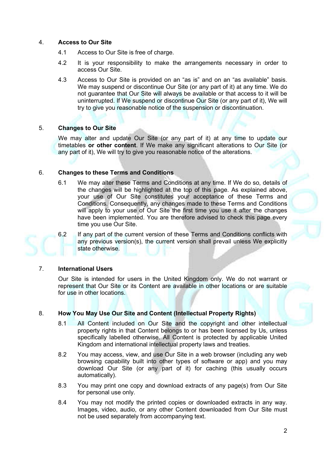## 4. **Access to Our Site**

- 4.1 Access to Our Site is free of charge.
- 4.2 It is your responsibility to make the arrangements necessary in order to access Our Site.
- 4.3 Access to Our Site is provided on an "as is" and on an "as available" basis. We may suspend or discontinue Our Site (or any part of it) at any time. We do not guarantee that Our Site will always be available or that access to it will be uninterrupted. If We suspend or discontinue Our Site (or any part of it), We will try to give you reasonable notice of the suspension or discontinuation.

### 5. **Changes to Our Site**

We may alter and update Our Site (or any part of it) at any time to update our timetables **or other content**. If We make any significant alterations to Our Site (or any part of it), We will try to give you reasonable notice of the alterations.

### 6. **Changes to these Terms and Conditions**

6.1 We may alter these Terms and Conditions at any time. If We do so, details of the changes will be highlighted at the top of this page. As explained above, your use of Our Site constitutes your acceptance of these Terms and Conditions. Consequently, any changes made to these Terms and Conditions will apply to your use of Our Site the first time you use it after the changes have been implemented. You are therefore advised to check this page every time you use Our Site.



6.2 If any part of the current version of these Terms and Conditions conflicts with any previous version(s), the current version shall prevail unless We explicitly state otherwise.

### 7. **International Users**

Our Site is intended for users in the United Kingdom only. We do not warrant or represent that Our Site or its Content are available in other locations or are suitable for use in other locations.

### 8. **How You May Use Our Site and Content (Intellectual Property Rights)**

- 8.1 All Content included on Our Site and the copyright and other intellectual property rights in that Content belongs to or has been licensed by Us, unless specifically labelled otherwise. All Content is protected by applicable United Kingdom and international intellectual property laws and treaties.
- 8.2 You may access, view, and use Our Site in a web browser (including any web browsing capability built into other types of software or app) and you may download Our Site (or any part of it) for caching (this usually occurs automatically).
- 8.3 You may print one copy and download extracts of any page(s) from Our Site for personal use only.
- 8.4 You may not modify the printed copies or downloaded extracts in any way. Images, video, audio, or any other Content downloaded from Our Site must not be used separately from accompanying text.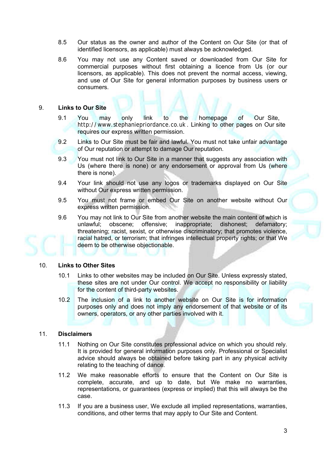- 8.5 Our status as the owner and author of the Content on Our Site (or that of identified licensors, as applicable) must always be acknowledged.
- 8.6 You may not use any Content saved or downloaded from Our Site for commercial purposes without first obtaining a licence from Us (or our licensors, as applicable). This does not prevent the normal access, viewing, and use of Our Site for general information purposes by business users or consumers.

# 9. **Links to Our Site**

- 9.1 You may only link to the homepage of Our Site, http://www.stephaniepriordance.co.uk . Linking to other pages on Our site requires our express written permission.
- 9.2 Links to Our Site must be fair and lawful. You must not take unfair advantage of Our reputation or attempt to damage Our reputation.
- 9.3 You must not link to Our Site in a manner that suggests any association with Us (where there is none) or any endorsement or approval from Us (where there is none).
- 9.4 Your link should not use any logos or trademarks displayed on Our Site without Our express written permission.
- 9.5 You must not frame or embed Our Site on another website without Our express written permission.
- 9.6 You may not link to Our Site from another website the main content of which is unlawful; obscene; offensive; inappropriate; dishonest; defamatory; threatening; racist, sexist, or otherwise discriminatory; that promotes violence, racial hatred, or terrorism; that infringes intellectual property rights; or that We deem to be otherwise objectionable.

### 10. **Links to Other Sites**

- 10.1 Links to other websites may be included on Our Site. Unless expressly stated, these sites are not under Our control. We accept no responsibility or liability for the content of third-party websites.
- 10.2 The inclusion of a link to another website on Our Site is for information purposes only and does not imply any endorsement of that website or of its owners, operators, or any other parties involved with it.

### 11. **Disclaimers**

- 11.1 Nothing on Our Site constitutes professional advice on which you should rely. It is provided for general information purposes only. Professional or Specialist advice should always be obtained before taking part in any physical activity relating to the teaching of dance.
- 11.2 We make reasonable efforts to ensure that the Content on Our Site is complete, accurate, and up to date, but We make no warranties, representations, or guarantees (express or implied) that this will always be the case.
- 11.3 If you are a business user, We exclude all implied representations, warranties, conditions, and other terms that may apply to Our Site and Content.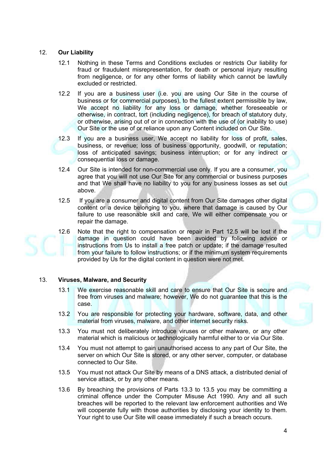### 12. **Our Liability**

- 12.1 Nothing in these Terms and Conditions excludes or restricts Our liability for fraud or fraudulent misrepresentation, for death or personal injury resulting from negligence, or for any other forms of liability which cannot be lawfully excluded or restricted.
- 12.2 If you are a business user (i.e. you are using Our Site in the course of business or for commercial purposes), to the fullest extent permissible by law, We accept no liability for any loss or damage, whether foreseeable or otherwise, in contract, tort (including negligence), for breach of statutory duty, or otherwise, arising out of or in connection with the use of (or inability to use) Our Site or the use of or reliance upon any Content included on Our Site.
- 12.3 If you are a business user, We accept no liability for loss of profit, sales, business, or revenue; loss of business opportunity, goodwill, or reputation; loss of anticipated savings; business interruption; or for any indirect or consequential loss or damage.
- 12.4 Our Site is intended for non-commercial use only. If you are a consumer, you agree that you will not use Our Site for any commercial or business purposes and that We shall have no liability to you for any business losses as set out above.
- 12.5 If you are a consumer and digital content from Our Site damages other digital content or a device belonging to you, where that damage is caused by Our failure to use reasonable skill and care, We will either compensate you or repair the damage.
- 12.6 Note that the right to compensation or repair in Part 12.5 will be lost if the damage in question could have been avoided by following advice or instructions from Us to install a free patch or update; if the damage resulted from your failure to follow instructions; or if the minimum system requirements provided by Us for the digital content in question were not met.

### 13. **Viruses, Malware, and Security**

- 13.1 We exercise reasonable skill and care to ensure that Our Site is secure and free from viruses and malware; however, We do not guarantee that this is the case.
- 13.2 You are responsible for protecting your hardware, software, data, and other material from viruses, malware, and other internet security risks.
- 13.3 You must not deliberately introduce viruses or other malware, or any other material which is malicious or technologically harmful either to or via Our Site.
- 13.4 You must not attempt to gain unauthorised access to any part of Our Site, the server on which Our Site is stored, or any other server, computer, or database connected to Our Site.
- 13.5 You must not attack Our Site by means of a DNS attack, a distributed denial of service attack, or by any other means.
- 13.6 By breaching the provisions of Parts 13.3 to 13.5 you may be committing a criminal offence under the Computer Misuse Act 1990. Any and all such breaches will be reported to the relevant law enforcement authorities and We will cooperate fully with those authorities by disclosing your identity to them. Your right to use Our Site will cease immediately if such a breach occurs.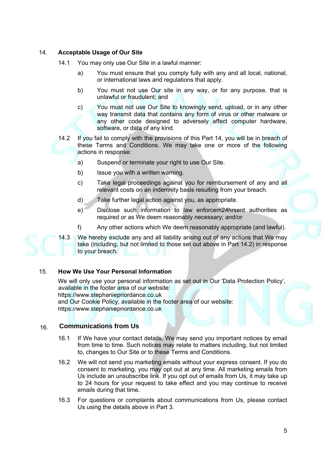# 14. **Acceptable Usage of Our Site**

- 14.1 You may only use Our Site in a lawful manner:
	- a) You must ensure that you comply fully with any and all local, national, or international laws and regulations that apply.
	- b) You must not use Our site in any way, or for any purpose, that is unlawful or fraudulent; and
	- c) You must not use Our Site to knowingly send, upload, or in any other way transmit data that contains any form of virus or other malware or any other code designed to adversely affect computer hardware, software, or data of any kind.
- 14.2 If you fail to comply with the provisions of this Part 14, you will be in breach of these Terms and Conditions. We may take one or more of the following actions in response:
	- a) Suspend or terminate your right to use Our Site.
	- b) Issue you with a written warning.
	- c) Take legal proceedings against you for reimbursement of any and all relevant costs on an indemnity basis resulting from your breach.
	- d) Take further legal action against you, as appropriate.
	- e) Disclose such information to law enforcem24hrsent authorities as required or as We deem reasonably necessary; and/or
	- f) Any other actions which We deem reasonably appropriate (and lawful).

14.3 We hereby exclude any and all liability arising out of any actions that We may take (including, but not limited to those set out above in Part 14.2) in response to your breach.

## 15. **How We Use Your Personal Information**

We will only use your personal information as set out in Our 'Data Protection Policy', available in the footer area of our website: <https://www.stephaniepriordance.co.uk> and [Our Cookie Policy, available in the](https://www.stephaniepriordance.co.uk) footer area of our website: <https://www.stephaniepriordance.co.uk>

### 16. **Communications from Us**

- 16.1 If We have your contact details, We may send you important notices by email from time to time. Such notices may relate to matters including, but not limited to, changes to Our Site or to these Terms and Conditions.
- 16.2 We will not send you marketing emails without your express consent. If you do consent to marketing, you may opt out at any time. All marketing emails from Us include an unsubscribe link. If you opt out of emails from Us, it may take up to 24 hours for your request to take effect and you may continue to receive emails during that time.
- 16.3 For questions or complaints about communications from Us, please contact Us using the details above in Part 3.